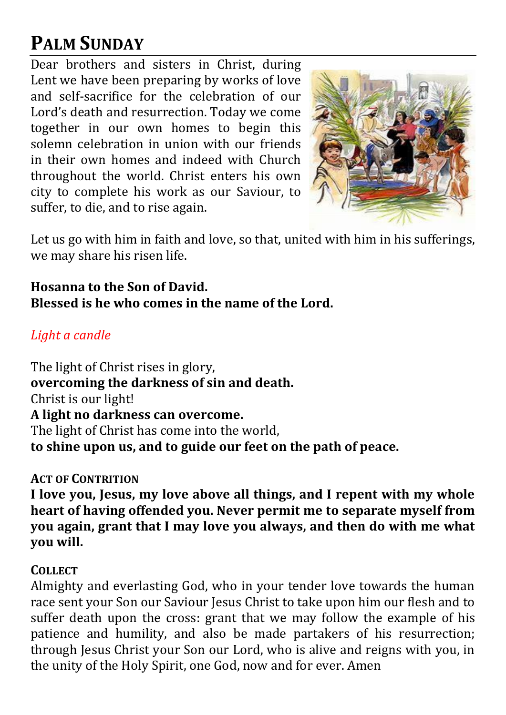# **PALM SUNDAY**

Dear brothers and sisters in Christ, during Lent we have been preparing by works of love and self-sacrifice for the celebration of our Lord's death and resurrection. Today we come together in our own homes to begin this solemn celebration in union with our friends in their own homes and indeed with Church throughout the world. Christ enters his own city to complete his work as our Saviour, to suffer, to die, and to rise again.



Let us go with him in faith and love, so that, united with him in his sufferings, we may share his risen life.

**Hosanna to the Son of David. Blessed is he who comes in the name of the Lord.**

## *Light a candle*

The light of Christ rises in glory, **overcoming the darkness of sin and death.** Christ is our light! **A light no darkness can overcome.** The light of Christ has come into the world, **to shine upon us, and to guide our feet on the path of peace.**

#### **ACT OF CONTRITION**

**I love you, Jesus, my love above all things, and I repent with my whole heart of having offended you. Never permit me to separate myself from you again, grant that I may love you always, and then do with me what you will.** 

#### **COLLECT**

Almighty and everlasting God, who in your tender love towards the human race sent your Son our Saviour Jesus Christ to take upon him our flesh and to suffer death upon the cross: grant that we may follow the example of his patience and humility, and also be made partakers of his resurrection; through Jesus Christ your Son our Lord, who is alive and reigns with you, in the unity of the Holy Spirit, one God, now and for ever. Amen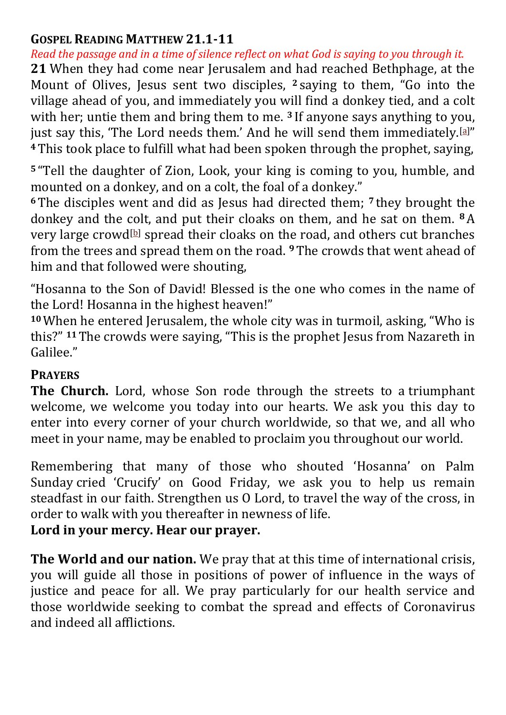#### **GOSPEL READING MATTHEW 21.1-11**

*Read the passage and in a time of silence reflect on what God is saying to you through it.* **21** When they had come near Jerusalem and had reached Bethphage, at the Mount of Olives, Jesus sent two disciples, **<sup>2</sup>** saying to them, "Go into the village ahead of you, and immediately you will find a donkey tied, and a colt with her; untie them and bring them to me. **<sup>3</sup>** If anyone says anything to you, just say this, 'The Lord needs them.' And he will send them immediately.<sup>[\[a\]](https://www.biblegateway.com/passage/?search=Matthew+21&version=NRSV#fen-NRSV-23828a)"</sup> **<sup>4</sup>**This took place to fulfill what had been spoken through the prophet, saying,

**<sup>5</sup>** "Tell the daughter of Zion, Look, your king is coming to you, humble, and mounted on a donkey, and on a colt, the foal of a donkey."

**<sup>6</sup>**The disciples went and did as Jesus had directed them; **<sup>7</sup>** they brought the donkey and the colt, and put their cloaks on them, and he sat on them. **8**A very large crowd<sup>[\[b\]](https://www.biblegateway.com/passage/?search=Matthew+21&version=NRSV#fen-NRSV-23833b)</sup> spread their cloaks on the road, and others cut branches from the trees and spread them on the road. **9**The crowds that went ahead of him and that followed were shouting,

"Hosanna to the Son of David! Blessed is the one who comes in the name of the Lord! Hosanna in the highest heaven!"

**<sup>10</sup>**When he entered Jerusalem, the whole city was in turmoil, asking, "Who is this?" **11**The crowds were saying, "This is the prophet Jesus from Nazareth in Galilee."

## **PRAYERS**

**The Church.** Lord, whose Son rode through the streets to a triumphant welcome, we welcome you today into our hearts. We ask you this day to enter into every corner of your church worldwide, so that we, and all who meet in your name, may be enabled to proclaim you throughout our world.

Remembering that many of those who shouted 'Hosanna' on Palm Sunday cried 'Crucify' on Good Friday, we ask you to help us remain steadfast in our faith. Strengthen us O Lord, to travel the way of the cross, in order to walk with you thereafter in newness of life.

## **Lord in your mercy. Hear our prayer.**

**The World and our nation.** We pray that at this time of international crisis, you will guide all those in positions of power of influence in the ways of justice and peace for all. We pray particularly for our health service and those worldwide seeking to combat the spread and effects of Coronavirus and indeed all afflictions.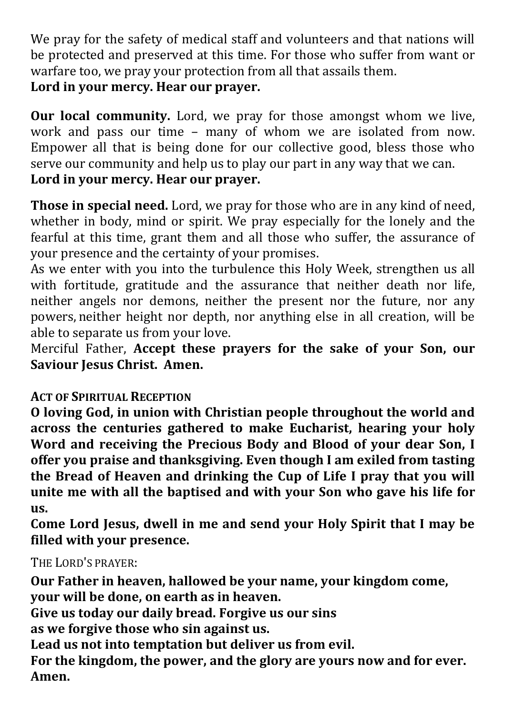We pray for the safety of medical staff and volunteers and that nations will be protected and preserved at this time. For those who suffer from want or warfare too, we pray your protection from all that assails them. **Lord in your mercy. Hear our prayer.**

**Our local community.** Lord, we pray for those amongst whom we live, work and pass our time – many of whom we are isolated from now. Empower all that is being done for our collective good, bless those who serve our community and help us to play our part in any way that we can. **Lord in your mercy. Hear our prayer.**

**Those in special need.** Lord, we pray for those who are in any kind of need, whether in body, mind or spirit. We pray especially for the lonely and the fearful at this time, grant them and all those who suffer, the assurance of your presence and the certainty of your promises.

As we enter with you into the turbulence this Holy Week, strengthen us all with fortitude, gratitude and the assurance that neither death nor life, neither angels nor demons, neither the present nor the future, nor any powers, neither height nor depth, nor anything else in all creation, will be able to separate us from your love.

Merciful Father, **Accept these prayers for the sake of your Son, our Saviour Jesus Christ. Amen.** 

## **ACT OF SPIRITUAL RECEPTION**

**O loving God, in union with Christian people throughout the world and across the centuries gathered to make Eucharist, hearing your holy Word and receiving the Precious Body and Blood of your dear Son, I offer you praise and thanksgiving. Even though I am exiled from tasting the Bread of Heaven and drinking the Cup of Life I pray that you will unite me with all the baptised and with your Son who gave his life for us.** 

**Come Lord Jesus, dwell in me and send your Holy Spirit that I may be filled with your presence.**

THE LORD'S PRAYER:

**Our Father in heaven, hallowed be your name, your kingdom come, your will be done, on earth as in heaven.**

**Give us today our daily bread. Forgive us our sins**

**as we forgive those who sin against us.**

**Lead us not into temptation but deliver us from evil.**

**For the kingdom, the power, and the glory are yours now and for ever. Amen.**